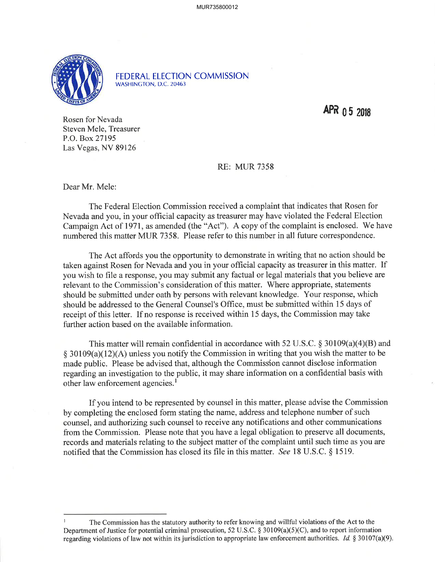

FEDERAL ELECTION COMMISSION WASHINGTON, D.C. 20463

APR 05 2018

Rosen for Nevada Steven Mele, Treasurer P.O. Box 27195 Las Vegas, NV 89126

RE: MUR 7358

Dear Mr. Mele:

The Federal Election Commission received a complaint that indicates that Rosen for Nevada and you, in your offrcial capacity as treasurer may have violated the Federal Election Campaign Act of 1971, as amended (the "Act"). A copy of the complaint is enclosed. We have numbered this matter MUR 7358. Please refer to this number in all future correspondence.

The Act affords you the opportunity to demonstrate in writing that no action should be taken against Rosen for Nevada and you in your official capacity as treasurer in this matter. If you wish to file a response, you may submit any factual or legal materials that you believe are relevant to the Commission's consideration of this matter. Where appropriate, statements should be submitted under oath by persons with relevant knowledge. Your response, which should be addressed to the General Counsel's Office, must be submitted within 15 days of receipt of this letter. If no response is received within l5 days, the Commission may take further action based on the available information.

This matter will remain confidential in accordance with 52 U.S.C.  $\S 30109(a)(4)(B)$  and  $\S$  30109(a)(12)(A) unless you notify the Commission in writing that you wish the matter to be made public. Please be advised that, although the Commission cannot disclose information regarding an investigation to the public, it may share information on a confidential basis with other law enforcement agencies.<sup>1</sup>

If you intend to be represented by counsel in this matter, please advise the Commission by completing the enclosed form stating the name, address and telephone number of such counsel, and authorizing such counsel to receive any notifications and other communications from the Commission. Please note that you have a legal obligation to preserve all documents, records and materials relating to the subject matter of the complaint until such time as you are notified that the Commission has closed its file in this matter. See 18 U.S.C. \$ 1519.

I The Commission has the statutory authority to refer knowing and willful violations of the Act to the Department of Justice for potential criminal prosecution, 52 U.S.C. \$ 30109(a)(5)(C), and to report information regarding violations of law not within its jurisdiction to appropriate law enforcement authorities. Id.  $\S 30107(a)(9)$ .